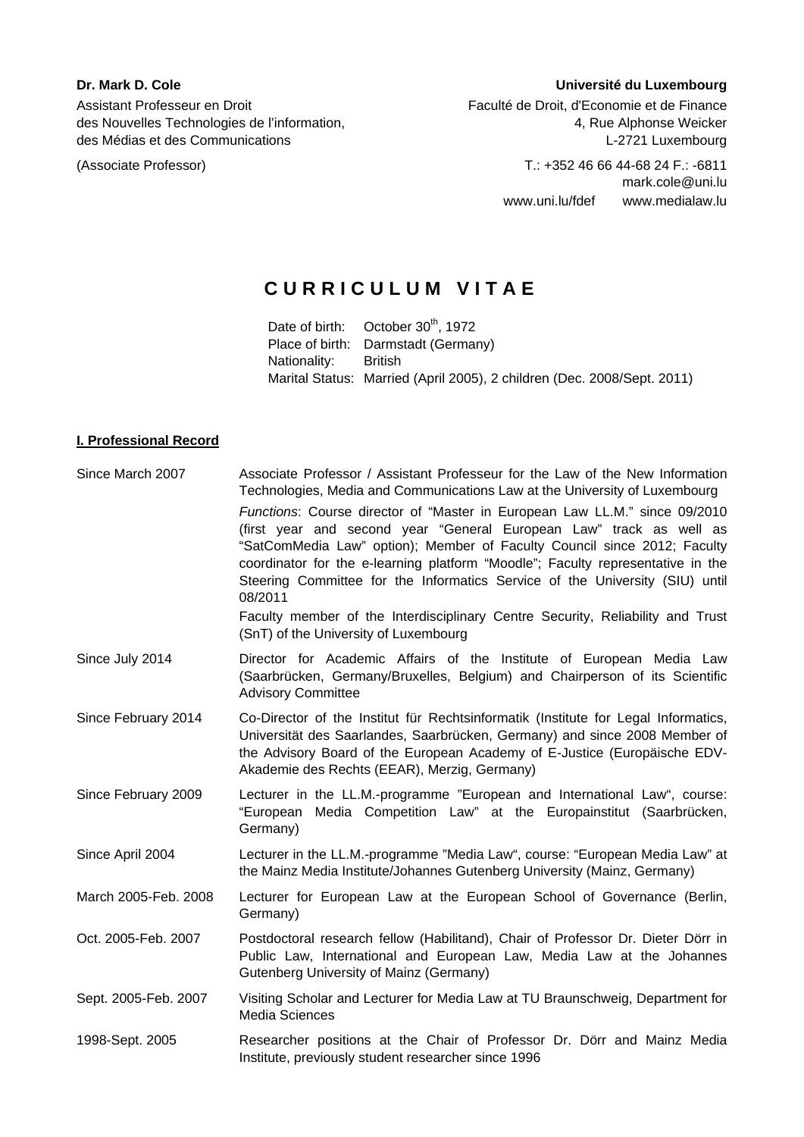des Nouvelles Technologies de l'information, entre la mateur des Nouvelles Alphonse Weicker

### **Dr. Mark D. Cole** Université du Luxembourg

Assistant Professeur en Droit **Faculté de Droit, d'Economie et de Finance** des Médias et des Communications 
L-2721 Luxembourg

(Associate Professor) T.: +352 46 66 44-68 24 F.: -6811 mark.cole@uni.lu www.uni.lu/fdef www.medialaw.lu

# **CURRICULUM VITAE**

Date of birth: October 30<sup>th</sup>, 1972 Place of birth: Darmstadt (Germany) Nationality: British Marital Status: Married (April 2005), 2 children (Dec. 2008/Sept. 2011)

## **I. Professional Record**

| Since March 2007     | Associate Professor / Assistant Professeur for the Law of the New Information<br>Technologies, Media and Communications Law at the University of Luxembourg<br>Functions: Course director of "Master in European Law LL.M." since 09/2010<br>(first year and second year "General European Law" track as well as<br>"SatComMedia Law" option); Member of Faculty Council since 2012; Faculty<br>coordinator for the e-learning platform "Moodle"; Faculty representative in the<br>Steering Committee for the Informatics Service of the University (SIU) until<br>08/2011<br>Faculty member of the Interdisciplinary Centre Security, Reliability and Trust<br>(SnT) of the University of Luxembourg |
|----------------------|-------------------------------------------------------------------------------------------------------------------------------------------------------------------------------------------------------------------------------------------------------------------------------------------------------------------------------------------------------------------------------------------------------------------------------------------------------------------------------------------------------------------------------------------------------------------------------------------------------------------------------------------------------------------------------------------------------|
| Since July 2014      | Director for Academic Affairs of the Institute of European Media Law<br>(Saarbrücken, Germany/Bruxelles, Belgium) and Chairperson of its Scientific<br><b>Advisory Committee</b>                                                                                                                                                                                                                                                                                                                                                                                                                                                                                                                      |
| Since February 2014  | Co-Director of the Institut für Rechtsinformatik (Institute for Legal Informatics,<br>Universität des Saarlandes, Saarbrücken, Germany) and since 2008 Member of<br>the Advisory Board of the European Academy of E-Justice (Europäische EDV-<br>Akademie des Rechts (EEAR), Merzig, Germany)                                                                                                                                                                                                                                                                                                                                                                                                         |
| Since February 2009  | Lecturer in the LL.M.-programme "European and International Law", course:<br>Media Competition Law" at the Europainstitut (Saarbrücken,<br>"European<br>Germany)                                                                                                                                                                                                                                                                                                                                                                                                                                                                                                                                      |
| Since April 2004     | Lecturer in the LL.M.-programme "Media Law", course: "European Media Law" at<br>the Mainz Media Institute/Johannes Gutenberg University (Mainz, Germany)                                                                                                                                                                                                                                                                                                                                                                                                                                                                                                                                              |
| March 2005-Feb. 2008 | Lecturer for European Law at the European School of Governance (Berlin,<br>Germany)                                                                                                                                                                                                                                                                                                                                                                                                                                                                                                                                                                                                                   |
| Oct. 2005-Feb. 2007  | Postdoctoral research fellow (Habilitand), Chair of Professor Dr. Dieter Dörr in<br>Public Law, International and European Law, Media Law at the Johannes<br>Gutenberg University of Mainz (Germany)                                                                                                                                                                                                                                                                                                                                                                                                                                                                                                  |
| Sept. 2005-Feb. 2007 | Visiting Scholar and Lecturer for Media Law at TU Braunschweig, Department for<br><b>Media Sciences</b>                                                                                                                                                                                                                                                                                                                                                                                                                                                                                                                                                                                               |
| 1998-Sept. 2005      | Researcher positions at the Chair of Professor Dr. Dörr and Mainz Media<br>Institute, previously student researcher since 1996                                                                                                                                                                                                                                                                                                                                                                                                                                                                                                                                                                        |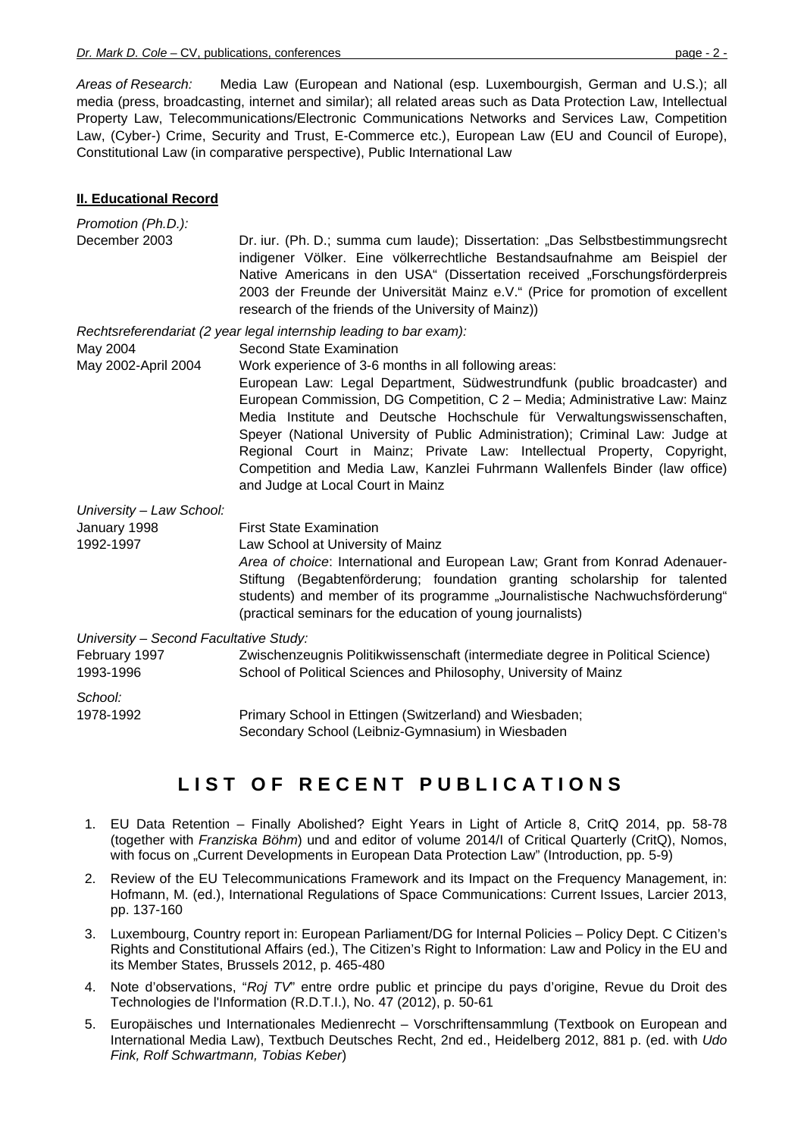*Areas of Research:* Media Law (European and National (esp. Luxembourgish, German and U.S.); all media (press, broadcasting, internet and similar); all related areas such as Data Protection Law, Intellectual Property Law, Telecommunications/Electronic Communications Networks and Services Law, Competition Law, (Cyber-) Crime, Security and Trust, E-Commerce etc.), European Law (EU and Council of Europe), Constitutional Law (in comparative perspective), Public International Law

#### **II. Educational Record**

| Promotion (Ph.D.):                     |                                                                                                                                                                                                                                                                                                                                                                                                                                                                                                                                                                           |
|----------------------------------------|---------------------------------------------------------------------------------------------------------------------------------------------------------------------------------------------------------------------------------------------------------------------------------------------------------------------------------------------------------------------------------------------------------------------------------------------------------------------------------------------------------------------------------------------------------------------------|
| December 2003                          | Dr. iur. (Ph. D.; summa cum laude); Dissertation: "Das Selbstbestimmungsrecht<br>indigener Völker. Eine völkerrechtliche Bestandsaufnahme am Beispiel der<br>Native Americans in den USA" (Dissertation received "Forschungsförderpreis<br>2003 der Freunde der Universität Mainz e.V." (Price for promotion of excellent<br>research of the friends of the University of Mainz))                                                                                                                                                                                         |
|                                        | Rechtsreferendariat (2 year legal internship leading to bar exam):                                                                                                                                                                                                                                                                                                                                                                                                                                                                                                        |
| May 2004                               | <b>Second State Examination</b>                                                                                                                                                                                                                                                                                                                                                                                                                                                                                                                                           |
| May 2002-April 2004                    | Work experience of 3-6 months in all following areas:<br>European Law: Legal Department, Südwestrundfunk (public broadcaster) and<br>European Commission, DG Competition, C 2 - Media; Administrative Law: Mainz<br>Media Institute and Deutsche Hochschule für Verwaltungswissenschaften,<br>Speyer (National University of Public Administration); Criminal Law: Judge at<br>Regional Court in Mainz; Private Law: Intellectual Property, Copyright,<br>Competition and Media Law, Kanzlei Fuhrmann Wallenfels Binder (law office)<br>and Judge at Local Court in Mainz |
| University - Law School:               |                                                                                                                                                                                                                                                                                                                                                                                                                                                                                                                                                                           |
| January 1998                           | <b>First State Examination</b>                                                                                                                                                                                                                                                                                                                                                                                                                                                                                                                                            |
| 1992-1997                              | Law School at University of Mainz<br>Area of choice: International and European Law; Grant from Konrad Adenauer-<br>Stiftung (Begabtenförderung; foundation granting scholarship for talented<br>students) and member of its programme "Journalistische Nachwuchsförderung"<br>(practical seminars for the education of young journalists)                                                                                                                                                                                                                                |
| University - Second Facultative Study: |                                                                                                                                                                                                                                                                                                                                                                                                                                                                                                                                                                           |
| February 1997<br>1993-1996             | Zwischenzeugnis Politikwissenschaft (intermediate degree in Political Science)<br>School of Political Sciences and Philosophy, University of Mainz                                                                                                                                                                                                                                                                                                                                                                                                                        |
| School:                                |                                                                                                                                                                                                                                                                                                                                                                                                                                                                                                                                                                           |
| 1978-1992                              | Primary School in Ettingen (Switzerland) and Wiesbaden;<br>Secondary School (Leibniz-Gymnasium) in Wiesbaden                                                                                                                                                                                                                                                                                                                                                                                                                                                              |

## **LIST OF RECENT PUBLICATIONS**

- 1. EU Data Retention Finally Abolished? Eight Years in Light of Article 8, CritQ 2014, pp. 58-78 (together with *Franziska Böhm*) und and editor of volume 2014/I of Critical Quarterly (CritQ), Nomos, with focus on "Current Developments in European Data Protection Law" (Introduction, pp. 5-9)
- 2. Review of the EU Telecommunications Framework and its Impact on the Frequency Management, in: Hofmann, M. (ed.), International Regulations of Space Communications: Current Issues, Larcier 2013, pp. 137-160
- 3. Luxembourg, Country report in: European Parliament/DG for Internal Policies Policy Dept. C Citizen's Rights and Constitutional Affairs (ed.), The Citizen's Right to Information: Law and Policy in the EU and its Member States, Brussels 2012, p. 465-480
- 4. Note d'observations, "*Roj TV*" entre ordre public et principe du pays d'origine, Revue du Droit des Technologies de l'Information (R.D.T.I.), No. 47 (2012), p. 50-61
- 5. Europäisches und Internationales Medienrecht Vorschriftensammlung (Textbook on European and International Media Law), Textbuch Deutsches Recht, 2nd ed., Heidelberg 2012, 881 p. (ed. with *Udo Fink, Rolf Schwartmann, Tobias Keber*)